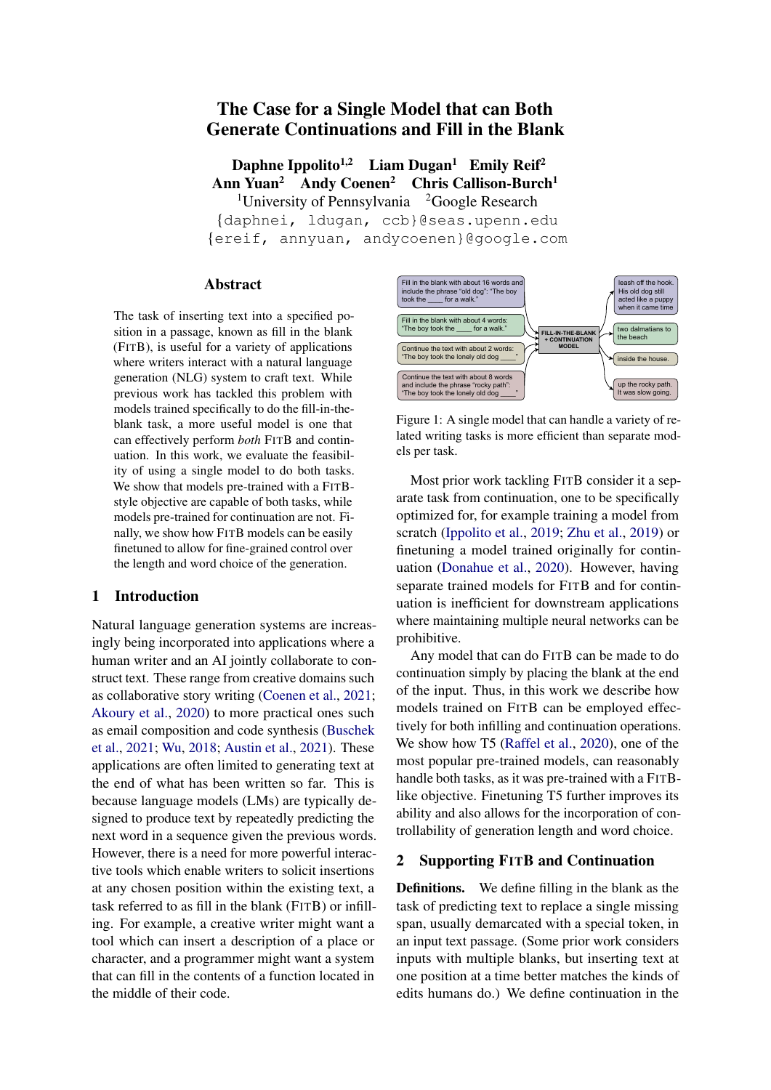# The Case for a Single Model that can Both Generate Continuations and Fill in the Blank

Daphne Ippolito<sup>1,2</sup> Liam Dugan<sup>1</sup> Emily Reif<sup>2</sup> Ann Yuan<sup>2</sup> Andy Coenen<sup>2</sup> Chris Callison-Burch<sup>1</sup> <sup>1</sup>University of Pennsylvania  $\frac{2}{3}$ Google Research {daphnei, ldugan, ccb}@seas.upenn.edu {ereif, annyuan, andycoenen}@google.com

### Abstract

The task of inserting text into a specified position in a passage, known as fill in the blank (FITB), is useful for a variety of applications where writers interact with a natural language generation (NLG) system to craft text. While previous work has tackled this problem with models trained specifically to do the fill-in-theblank task, a more useful model is one that can effectively perform *both* FITB and continuation. In this work, we evaluate the feasibility of using a single model to do both tasks. We show that models pre-trained with a FITBstyle objective are capable of both tasks, while models pre-trained for continuation are not. Finally, we show how FITB models can be easily finetuned to allow for fine-grained control over the length and word choice of the generation.

### 1 Introduction

Natural language generation systems are increasingly being incorporated into applications where a human writer and an AI jointly collaborate to construct text. These range from creative domains such as collaborative story writing [\(Coenen et al.,](#page-5-0) [2021;](#page-5-0) [Akoury et al.,](#page-4-0) [2020\)](#page-4-0) to more practical ones such as email composition and code synthesis [\(Buschek](#page-4-1) [et al.,](#page-4-1) [2021;](#page-4-1) [Wu,](#page-5-1) [2018;](#page-5-1) [Austin et al.,](#page-4-2) [2021\)](#page-4-2). These applications are often limited to generating text at the end of what has been written so far. This is because language models (LMs) are typically designed to produce text by repeatedly predicting the next word in a sequence given the previous words. However, there is a need for more powerful interactive tools which enable writers to solicit insertions at any chosen position within the existing text, a task referred to as fill in the blank (FITB) or infilling. For example, a creative writer might want a tool which can insert a description of a place or character, and a programmer might want a system that can fill in the contents of a function located in the middle of their code.



Figure 1: A single model that can handle a variety of related writing tasks is more efficient than separate models per task.

Most prior work tackling FITB consider it a separate task from continuation, one to be specifically optimized for, for example training a model from scratch [\(Ippolito et al.,](#page-5-2) [2019;](#page-5-2) [Zhu et al.,](#page-6-0) [2019\)](#page-6-0) or finetuning a model trained originally for continuation [\(Donahue et al.,](#page-5-3) [2020\)](#page-5-3). However, having separate trained models for FITB and for continuation is inefficient for downstream applications where maintaining multiple neural networks can be prohibitive.

Any model that can do FITB can be made to do continuation simply by placing the blank at the end of the input. Thus, in this work we describe how models trained on FITB can be employed effectively for both infilling and continuation operations. We show how T5 [\(Raffel et al.,](#page-5-4) [2020\)](#page-5-4), one of the most popular pre-trained models, can reasonably handle both tasks, as it was pre-trained with a FITBlike objective. Finetuning T5 further improves its ability and also allows for the incorporation of controllability of generation length and word choice.

### 2 Supporting FITB and Continuation

Definitions. We define filling in the blank as the task of predicting text to replace a single missing span, usually demarcated with a special token, in an input text passage. (Some prior work considers inputs with multiple blanks, but inserting text at one position at a time better matches the kinds of edits humans do.) We define continuation in the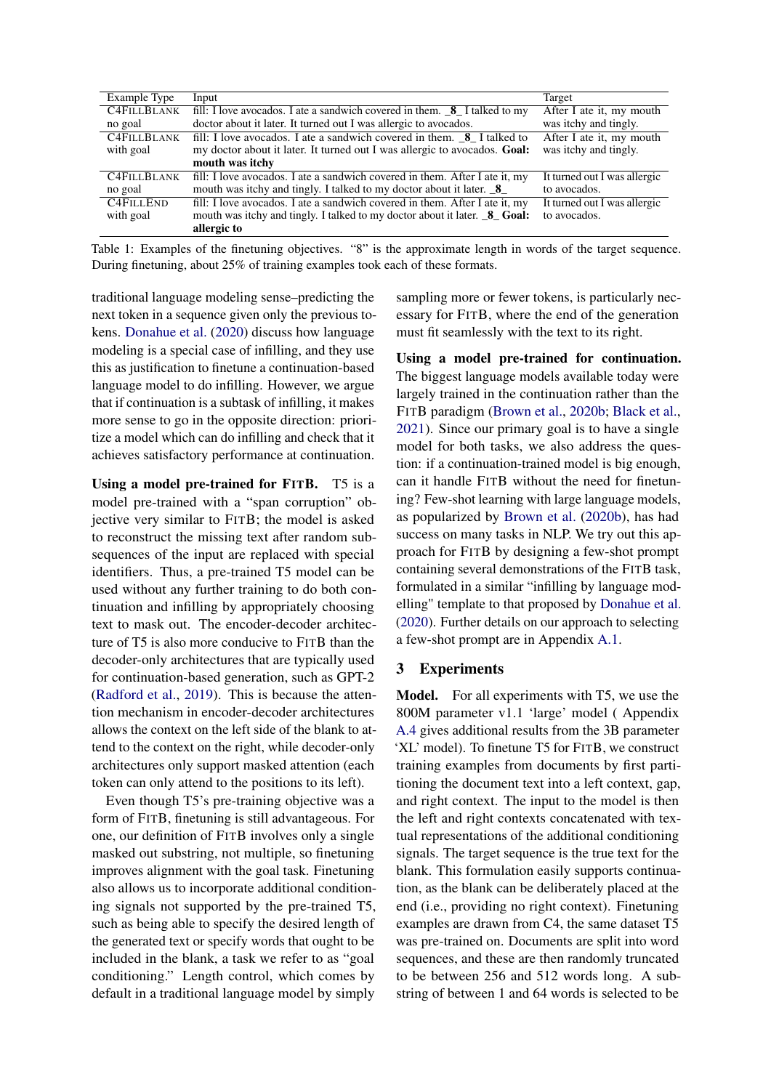<span id="page-1-0"></span>

| Example Type       | Input                                                                            | Target                                    |
|--------------------|----------------------------------------------------------------------------------|-------------------------------------------|
| <b>C4FILLBLANK</b> | fill: I love avocados. I ate a sandwich covered in them. $8$ I talked to my      | After I ate it, my mouth                  |
| no goal            | doctor about it later. It turned out I was allergic to avocados.                 | was itchy and tingly.                     |
| <b>C4FILLBLANK</b> | fill: I love avocados. I ate a sandwich covered in them. 8 I talked to           | After I ate it, my mouth                  |
| with goal          | my doctor about it later. It turned out I was allergic to avocados. Goal:        | was itchy and tingly.                     |
|                    | mouth was itchy                                                                  |                                           |
| <b>C4FILLBLANK</b> | fill: I love avocados. I ate a sandwich covered in them. After I ate it, my      | It turned out $\overline{I}$ was allergic |
| no goal            | mouth was itchy and tingly. I talked to my doctor about it later. <b>8</b>       | to avocados.                              |
| <b>C4FILLEND</b>   | fill: I love avocados. I ate a sandwich covered in them. After I ate it, my      | It turned out I was allergic              |
| with goal          | mouth was itchy and tingly. I talked to my doctor about it later. <b>8</b> Goal: | to avocados.                              |
|                    | allergic to                                                                      |                                           |

Table 1: Examples of the finetuning objectives. "8" is the approximate length in words of the target sequence. During finetuning, about 25% of training examples took each of these formats.

traditional language modeling sense–predicting the next token in a sequence given only the previous tokens. [Donahue et al.](#page-5-3) [\(2020\)](#page-5-3) discuss how language modeling is a special case of infilling, and they use this as justification to finetune a continuation-based language model to do infilling. However, we argue that if continuation is a subtask of infilling, it makes more sense to go in the opposite direction: prioritize a model which can do infilling and check that it achieves satisfactory performance at continuation.

Using a model pre-trained for FITB. T5 is a model pre-trained with a "span corruption" objective very similar to FITB; the model is asked to reconstruct the missing text after random subsequences of the input are replaced with special identifiers. Thus, a pre-trained T5 model can be used without any further training to do both continuation and infilling by appropriately choosing text to mask out. The encoder-decoder architecture of T5 is also more conducive to FITB than the decoder-only architectures that are typically used for continuation-based generation, such as GPT-2 [\(Radford et al.,](#page-5-5) [2019\)](#page-5-5). This is because the attention mechanism in encoder-decoder architectures allows the context on the left side of the blank to attend to the context on the right, while decoder-only architectures only support masked attention (each token can only attend to the positions to its left).

Even though T5's pre-training objective was a form of FITB, finetuning is still advantageous. For one, our definition of FITB involves only a single masked out substring, not multiple, so finetuning improves alignment with the goal task. Finetuning also allows us to incorporate additional conditioning signals not supported by the pre-trained T5, such as being able to specify the desired length of the generated text or specify words that ought to be included in the blank, a task we refer to as "goal conditioning." Length control, which comes by default in a traditional language model by simply sampling more or fewer tokens, is particularly necessary for FITB, where the end of the generation must fit seamlessly with the text to its right.

Using a model pre-trained for continuation. The biggest language models available today were largely trained in the continuation rather than the FITB paradigm [\(Brown et al.,](#page-4-3) [2020b;](#page-4-3) [Black et al.,](#page-4-4) [2021\)](#page-4-4). Since our primary goal is to have a single model for both tasks, we also address the question: if a continuation-trained model is big enough, can it handle FITB without the need for finetuning? Few-shot learning with large language models, as popularized by [Brown et al.](#page-4-3) [\(2020b\)](#page-4-3), has had success on many tasks in NLP. We try out this approach for FITB by designing a few-shot prompt containing several demonstrations of the FITB task, formulated in a similar "infilling by language modelling" template to that proposed by [Donahue et al.](#page-5-3) [\(2020\)](#page-5-3). Further details on our approach to selecting a few-shot prompt are in Appendix [A.1.](#page-7-0)

## <span id="page-1-1"></span>3 Experiments

Model. For all experiments with T5, we use the 800M parameter v1.1 'large' model ( Appendix [A.4](#page-8-0) gives additional results from the 3B parameter 'XL' model). To finetune T5 for FITB, we construct training examples from documents by first partitioning the document text into a left context, gap, and right context. The input to the model is then the left and right contexts concatenated with textual representations of the additional conditioning signals. The target sequence is the true text for the blank. This formulation easily supports continuation, as the blank can be deliberately placed at the end (i.e., providing no right context). Finetuning examples are drawn from C4, the same dataset T5 was pre-trained on. Documents are split into word sequences, and these are then randomly truncated to be between 256 and 512 words long. A substring of between 1 and 64 words is selected to be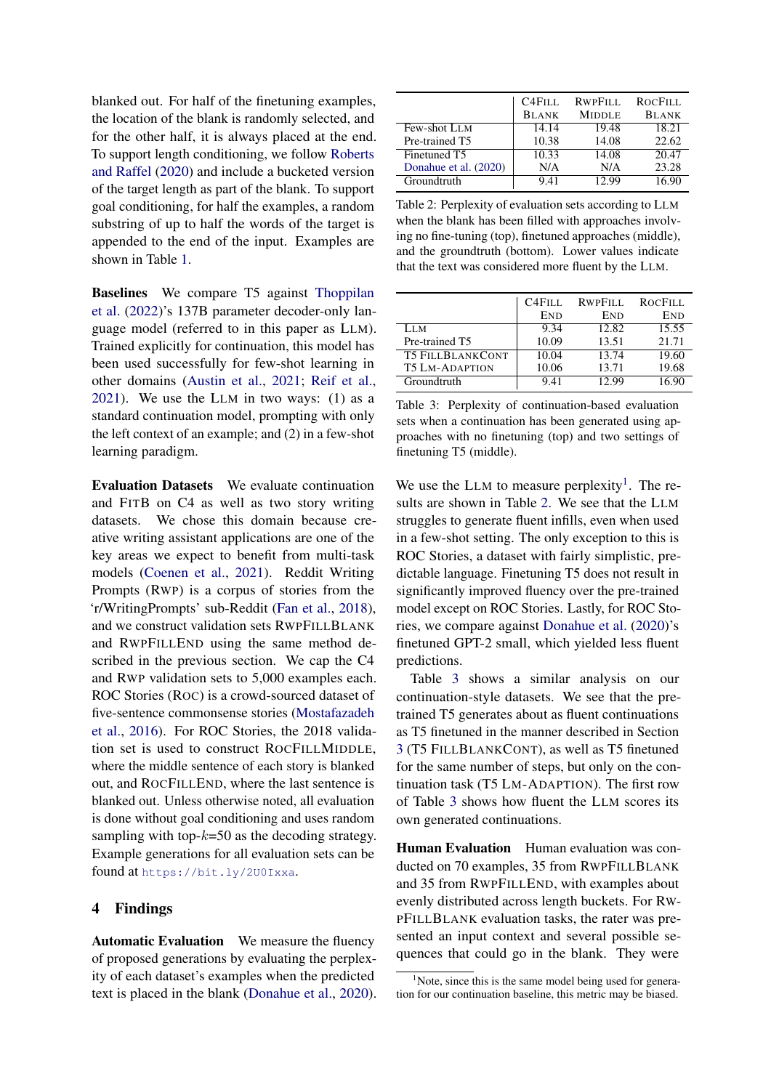blanked out. For half of the finetuning examples, the location of the blank is randomly selected, and for the other half, it is always placed at the end. To support length conditioning, we follow [Roberts](#page-5-6) [and Raffel](#page-5-6) [\(2020\)](#page-5-6) and include a bucketed version of the target length as part of the blank. To support goal conditioning, for half the examples, a random substring of up to half the words of the target is appended to the end of the input. Examples are shown in Table [1.](#page-1-0)

Baselines We compare T5 against [Thoppilan](#page-5-7) [et al.](#page-5-7) [\(2022\)](#page-5-7)'s 137B parameter decoder-only language model (referred to in this paper as LLM). Trained explicitly for continuation, this model has been used successfully for few-shot learning in other domains [\(Austin et al.,](#page-4-2) [2021;](#page-4-2) [Reif et al.,](#page-5-8) [2021\)](#page-5-8). We use the LLM in two ways: (1) as a standard continuation model, prompting with only the left context of an example; and (2) in a few-shot learning paradigm.

Evaluation Datasets We evaluate continuation and FITB on C4 as well as two story writing datasets. We chose this domain because creative writing assistant applications are one of the key areas we expect to benefit from multi-task models [\(Coenen et al.,](#page-5-0) [2021\)](#page-5-0). Reddit Writing Prompts (RWP) is a corpus of stories from the 'r/WritingPrompts' sub-Reddit [\(Fan et al.,](#page-5-9) [2018\)](#page-5-9), and we construct validation sets RWPFILLBLANK and RWPFILLEND using the same method described in the previous section. We cap the C4 and RWP validation sets to 5,000 examples each. ROC Stories (ROC) is a crowd-sourced dataset of five-sentence commonsense stories [\(Mostafazadeh](#page-5-10) [et al.,](#page-5-10) [2016\)](#page-5-10). For ROC Stories, the 2018 validation set is used to construct ROCFILLMIDDLE, where the middle sentence of each story is blanked out, and ROCFILLEND, where the last sentence is blanked out. Unless otherwise noted, all evaluation is done without goal conditioning and uses random sampling with top- $k=50$  as the decoding strategy. Example generations for all evaluation sets can be found at <https://bit.ly/2U0Ixxa>.

### 4 Findings

Automatic Evaluation We measure the fluency of proposed generations by evaluating the perplexity of each dataset's examples when the predicted text is placed in the blank [\(Donahue et al.,](#page-5-3) [2020\)](#page-5-3).

<span id="page-2-1"></span>

|                       | <b>C4FILL</b> | RWPFILL       | <b>ROCFILL</b> |
|-----------------------|---------------|---------------|----------------|
|                       | <b>BLANK</b>  | <b>MIDDLE</b> | <b>BLANK</b>   |
| Few-shot LLM          | 14.14         | 19.48         | 18.21          |
| Pre-trained T5        | 10.38         | 14.08         | 22.62          |
| Finetuned T5          | 10.33         | 14.08         | 20.47          |
| Donahue et al. (2020) | N/A           | N/A           | 23.28          |
| Groundtruth           | 9.41          | 12.99         | 16.90          |

Table 2: Perplexity of evaluation sets according to LLM when the blank has been filled with approaches involving no fine-tuning (top), finetuned approaches (middle), and the groundtruth (bottom). Lower values indicate that the text was considered more fluent by the LLM.

<span id="page-2-2"></span>

|                         | C <sub>4</sub> F <sub>ILL</sub> | RWPFILL | ROCFILL    |
|-------------------------|---------------------------------|---------|------------|
|                         | END                             | END     | <b>END</b> |
| LLM.                    | 9.34                            | 12.82   | 15.55      |
| Pre-trained T5          | 10.09                           | 13.51   | 21.71      |
| <b>T5 FILLBLANKCONT</b> | 10.04                           | 13.74   | 19.60      |
| <b>T5 LM-ADAPTION</b>   | 10.06                           | 13.71   | 19.68      |
| Groundtruth             | 9.41                            | 12.99   | 16.90      |

Table 3: Perplexity of continuation-based evaluation sets when a continuation has been generated using approaches with no finetuning (top) and two settings of finetuning T5 (middle).

We use the LLM to measure perplexity<sup>[1](#page-2-0)</sup>. The results are shown in Table [2.](#page-2-1) We see that the LLM struggles to generate fluent infills, even when used in a few-shot setting. The only exception to this is ROC Stories, a dataset with fairly simplistic, predictable language. Finetuning T5 does not result in significantly improved fluency over the pre-trained model except on ROC Stories. Lastly, for ROC Stories, we compare against [Donahue et al.](#page-5-3) [\(2020\)](#page-5-3)'s finetuned GPT-2 small, which yielded less fluent predictions.

Table [3](#page-2-2) shows a similar analysis on our continuation-style datasets. We see that the pretrained T5 generates about as fluent continuations as T5 finetuned in the manner described in Section [3](#page-1-1) (T5 FILLBLANKCONT), as well as T5 finetuned for the same number of steps, but only on the continuation task (T5 LM-ADAPTION). The first row of Table [3](#page-2-2) shows how fluent the LLM scores its own generated continuations.

Human Evaluation Human evaluation was conducted on 70 examples, 35 from RWPFILLBLANK and 35 from RWPFILLEND, with examples about evenly distributed across length buckets. For RW-PFILLBLANK evaluation tasks, the rater was presented an input context and several possible sequences that could go in the blank. They were

<span id="page-2-0"></span> $1$ Note, since this is the same model being used for generation for our continuation baseline, this metric may be biased.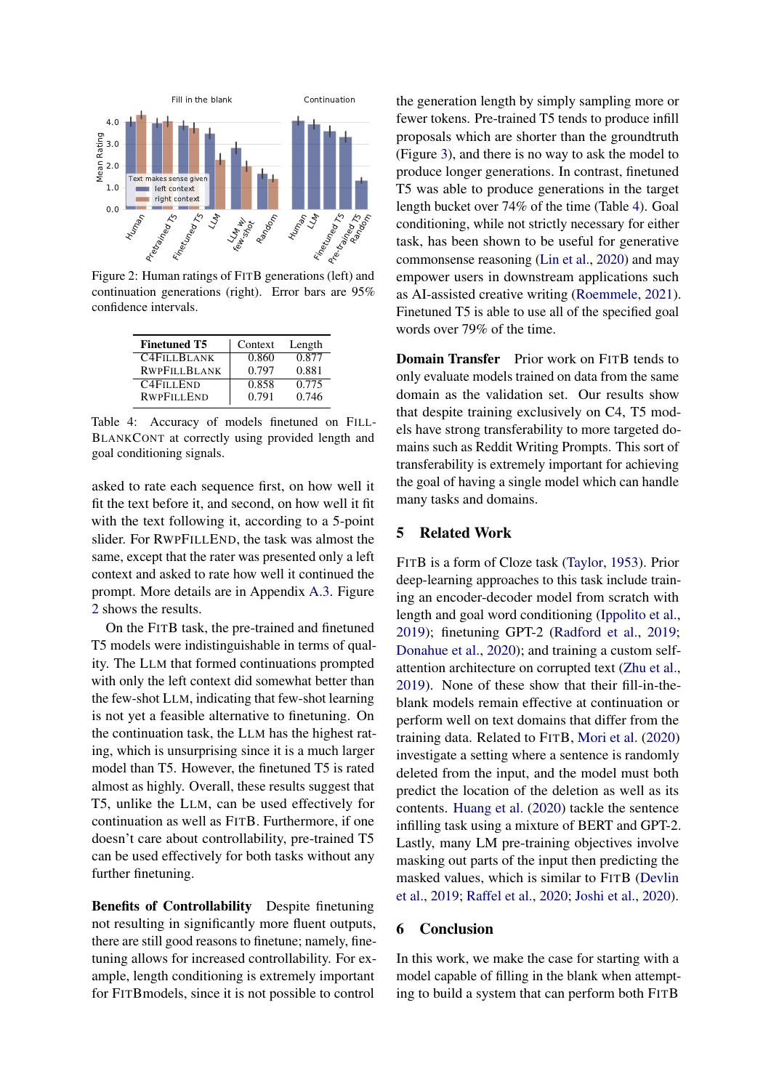<span id="page-3-0"></span>

Figure 2: Human ratings of FITB generations (left) and continuation generations (right). Error bars are 95% confidence intervals.

<span id="page-3-1"></span>

| <b>Finetuned T5</b> | Context | Length |
|---------------------|---------|--------|
| <b>C4FILLBLANK</b>  | 0.860   | 0.877  |
| <b>RWPFILLBLANK</b> | 0.797   | 0.881  |
| <b>C4FILLEND</b>    | 0.858   | 0.775  |
| <b>RWPFILLEND</b>   | 0.791   | 0.746  |

Table 4: Accuracy of models finetuned on FILL-BLANKCONT at correctly using provided length and goal conditioning signals.

asked to rate each sequence first, on how well it fit the text before it, and second, on how well it fit with the text following it, according to a 5-point slider. For RWPFILLEND, the task was almost the same, except that the rater was presented only a left context and asked to rate how well it continued the prompt. More details are in Appendix [A.3.](#page-8-1) Figure [2](#page-3-0) shows the results.

On the FITB task, the pre-trained and finetuned T5 models were indistinguishable in terms of quality. The LLM that formed continuations prompted with only the left context did somewhat better than the few-shot LLM, indicating that few-shot learning is not yet a feasible alternative to finetuning. On the continuation task, the LLM has the highest rating, which is unsurprising since it is a much larger model than T5. However, the finetuned T5 is rated almost as highly. Overall, these results suggest that T5, unlike the LLM, can be used effectively for continuation as well as FITB. Furthermore, if one doesn't care about controllability, pre-trained T5 can be used effectively for both tasks without any further finetuning.

Benefits of Controllability Despite finetuning not resulting in significantly more fluent outputs, there are still good reasons to finetune; namely, finetuning allows for increased controllability. For example, length conditioning is extremely important for FITBmodels, since it is not possible to control

the generation length by simply sampling more or fewer tokens. Pre-trained T5 tends to produce infill proposals which are shorter than the groundtruth (Figure [3\)](#page-4-5), and there is no way to ask the model to produce longer generations. In contrast, finetuned T5 was able to produce generations in the target length bucket over 74% of the time (Table [4\)](#page-3-1). Goal conditioning, while not strictly necessary for either task, has been shown to be useful for generative commonsense reasoning [\(Lin et al.,](#page-5-11) [2020\)](#page-5-11) and may empower users in downstream applications such as AI-assisted creative writing [\(Roemmele,](#page-5-12) [2021\)](#page-5-12). Finetuned T5 is able to use all of the specified goal words over 79% of the time.

**Domain Transfer** Prior work on FITB tends to only evaluate models trained on data from the same domain as the validation set. Our results show that despite training exclusively on C4, T5 models have strong transferability to more targeted domains such as Reddit Writing Prompts. This sort of transferability is extremely important for achieving the goal of having a single model which can handle many tasks and domains.

## 5 Related Work

FITB is a form of Cloze task [\(Taylor,](#page-5-13) [1953\)](#page-5-13). Prior deep-learning approaches to this task include training an encoder-decoder model from scratch with length and goal word conditioning [\(Ippolito et al.,](#page-5-2) [2019\)](#page-5-2); finetuning GPT-2 [\(Radford et al.,](#page-5-5) [2019;](#page-5-5) [Donahue et al.,](#page-5-3) [2020\)](#page-5-3); and training a custom selfattention architecture on corrupted text [\(Zhu et al.,](#page-6-0) [2019\)](#page-6-0). None of these show that their fill-in-theblank models remain effective at continuation or perform well on text domains that differ from the training data. Related to FITB, [Mori et al.](#page-5-14) [\(2020\)](#page-5-14) investigate a setting where a sentence is randomly deleted from the input, and the model must both predict the location of the deletion as well as its contents. [Huang et al.](#page-5-15) [\(2020\)](#page-5-15) tackle the sentence infilling task using a mixture of BERT and GPT-2. Lastly, many LM pre-training objectives involve masking out parts of the input then predicting the masked values, which is similar to FITB [\(Devlin](#page-5-16) [et al.,](#page-5-16) [2019;](#page-5-16) [Raffel et al.,](#page-5-4) [2020;](#page-5-4) [Joshi et al.,](#page-5-17) [2020\)](#page-5-17).

### 6 Conclusion

In this work, we make the case for starting with a model capable of filling in the blank when attempting to build a system that can perform both FITB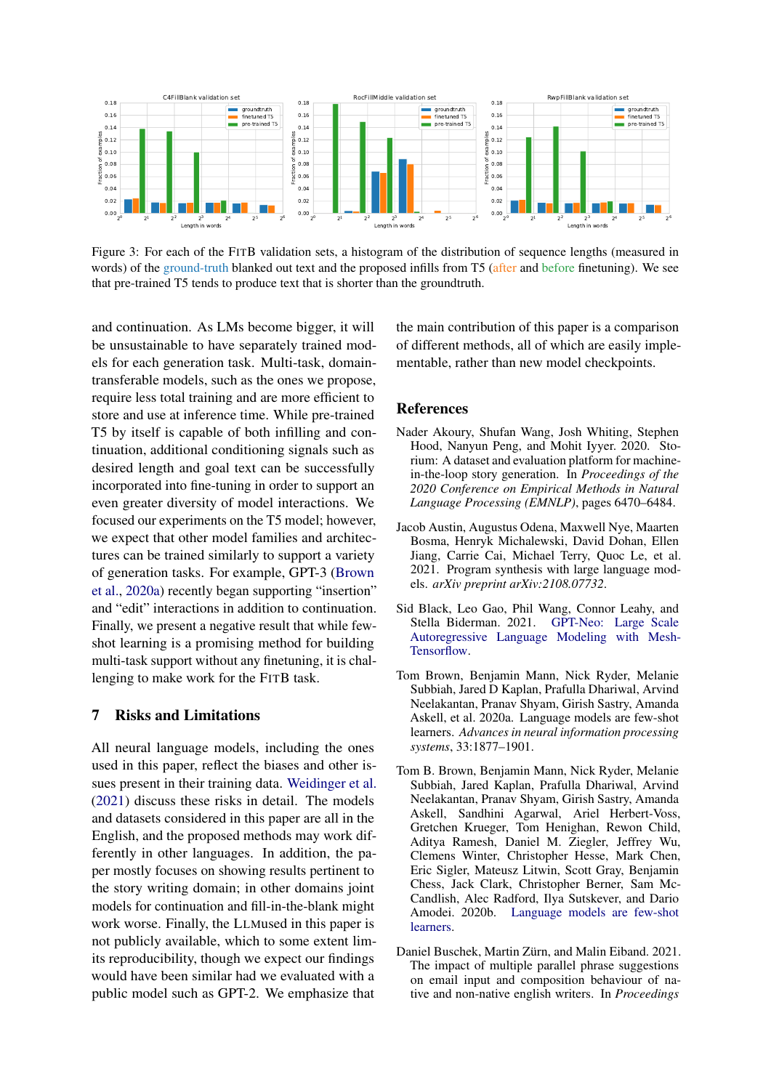<span id="page-4-5"></span>

Figure 3: For each of the FITB validation sets, a histogram of the distribution of sequence lengths (measured in words) of the ground-truth blanked out text and the proposed infills from T5 (after and before finetuning). We see that pre-trained T5 tends to produce text that is shorter than the groundtruth.

and continuation. As LMs become bigger, it will be unsustainable to have separately trained models for each generation task. Multi-task, domaintransferable models, such as the ones we propose, require less total training and are more efficient to store and use at inference time. While pre-trained T5 by itself is capable of both infilling and continuation, additional conditioning signals such as desired length and goal text can be successfully incorporated into fine-tuning in order to support an even greater diversity of model interactions. We focused our experiments on the T5 model; however, we expect that other model families and architectures can be trained similarly to support a variety of generation tasks. For example, GPT-3 [\(Brown](#page-4-6) [et al.,](#page-4-6) [2020a\)](#page-4-6) recently began supporting "insertion" and "edit" interactions in addition to continuation. Finally, we present a negative result that while fewshot learning is a promising method for building multi-task support without any finetuning, it is challenging to make work for the FITB task.

### 7 Risks and Limitations

All neural language models, including the ones used in this paper, reflect the biases and other issues present in their training data. [Weidinger et al.](#page-5-18) [\(2021\)](#page-5-18) discuss these risks in detail. The models and datasets considered in this paper are all in the English, and the proposed methods may work differently in other languages. In addition, the paper mostly focuses on showing results pertinent to the story writing domain; in other domains joint models for continuation and fill-in-the-blank might work worse. Finally, the LLMused in this paper is not publicly available, which to some extent limits reproducibility, though we expect our findings would have been similar had we evaluated with a public model such as GPT-2. We emphasize that

the main contribution of this paper is a comparison of different methods, all of which are easily implementable, rather than new model checkpoints.

#### **References**

- <span id="page-4-0"></span>Nader Akoury, Shufan Wang, Josh Whiting, Stephen Hood, Nanyun Peng, and Mohit Iyyer. 2020. Storium: A dataset and evaluation platform for machinein-the-loop story generation. In *Proceedings of the 2020 Conference on Empirical Methods in Natural Language Processing (EMNLP)*, pages 6470–6484.
- <span id="page-4-2"></span>Jacob Austin, Augustus Odena, Maxwell Nye, Maarten Bosma, Henryk Michalewski, David Dohan, Ellen Jiang, Carrie Cai, Michael Terry, Quoc Le, et al. 2021. Program synthesis with large language models. *arXiv preprint arXiv:2108.07732*.
- <span id="page-4-4"></span>Sid Black, Leo Gao, Phil Wang, Connor Leahy, and Stella Biderman. 2021. [GPT-Neo: Large Scale](https://doi.org/10.5281/zenodo.5297715) [Autoregressive Language Modeling with Mesh-](https://doi.org/10.5281/zenodo.5297715)[Tensorflow.](https://doi.org/10.5281/zenodo.5297715)
- <span id="page-4-6"></span>Tom Brown, Benjamin Mann, Nick Ryder, Melanie Subbiah, Jared D Kaplan, Prafulla Dhariwal, Arvind Neelakantan, Pranav Shyam, Girish Sastry, Amanda Askell, et al. 2020a. Language models are few-shot learners. *Advances in neural information processing systems*, 33:1877–1901.
- <span id="page-4-3"></span>Tom B. Brown, Benjamin Mann, Nick Ryder, Melanie Subbiah, Jared Kaplan, Prafulla Dhariwal, Arvind Neelakantan, Pranav Shyam, Girish Sastry, Amanda Askell, Sandhini Agarwal, Ariel Herbert-Voss, Gretchen Krueger, Tom Henighan, Rewon Child, Aditya Ramesh, Daniel M. Ziegler, Jeffrey Wu, Clemens Winter, Christopher Hesse, Mark Chen, Eric Sigler, Mateusz Litwin, Scott Gray, Benjamin Chess, Jack Clark, Christopher Berner, Sam Mc-Candlish, Alec Radford, Ilya Sutskever, and Dario Amodei. 2020b. [Language models are few-shot](http://arxiv.org/abs/2005.14165) [learners.](http://arxiv.org/abs/2005.14165)
- <span id="page-4-1"></span>Daniel Buschek, Martin Zürn, and Malin Eiband. 2021. The impact of multiple parallel phrase suggestions on email input and composition behaviour of native and non-native english writers. In *Proceedings*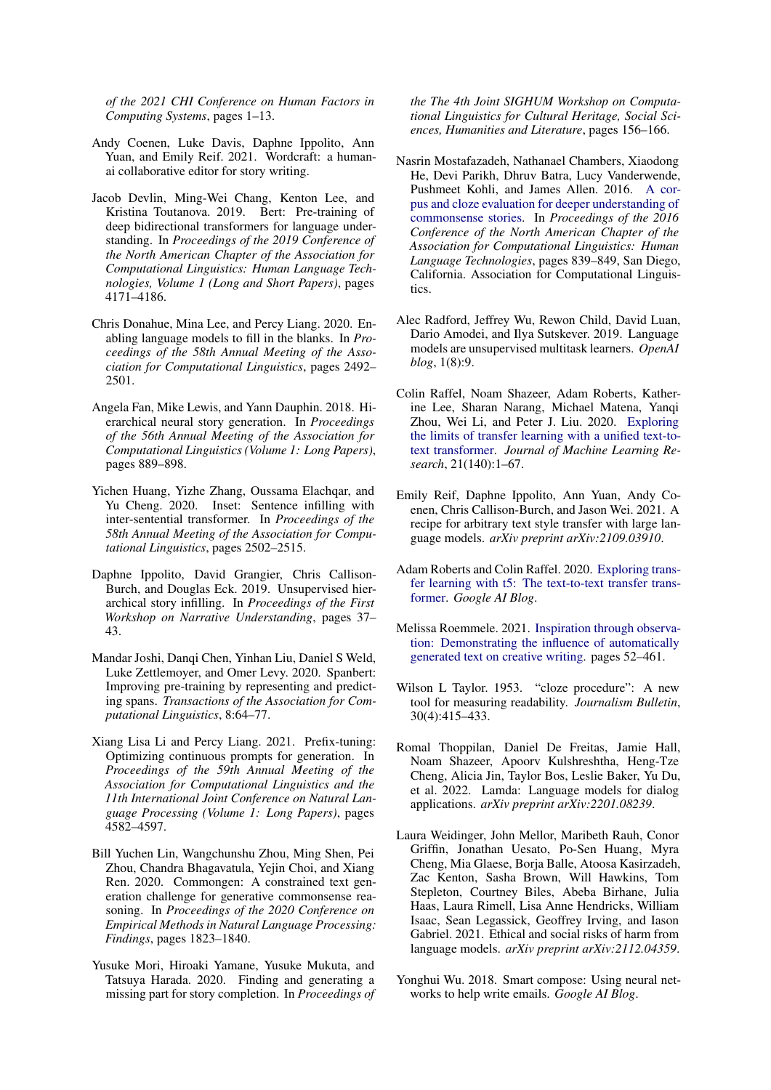*of the 2021 CHI Conference on Human Factors in Computing Systems*, pages 1–13.

- <span id="page-5-0"></span>Andy Coenen, Luke Davis, Daphne Ippolito, Ann Yuan, and Emily Reif. 2021. Wordcraft: a humanai collaborative editor for story writing.
- <span id="page-5-16"></span>Jacob Devlin, Ming-Wei Chang, Kenton Lee, and Kristina Toutanova. 2019. Bert: Pre-training of deep bidirectional transformers for language understanding. In *Proceedings of the 2019 Conference of the North American Chapter of the Association for Computational Linguistics: Human Language Technologies, Volume 1 (Long and Short Papers)*, pages 4171–4186.
- <span id="page-5-3"></span>Chris Donahue, Mina Lee, and Percy Liang. 2020. Enabling language models to fill in the blanks. In *Proceedings of the 58th Annual Meeting of the Association for Computational Linguistics*, pages 2492– 2501.
- <span id="page-5-9"></span>Angela Fan, Mike Lewis, and Yann Dauphin. 2018. Hierarchical neural story generation. In *Proceedings of the 56th Annual Meeting of the Association for Computational Linguistics (Volume 1: Long Papers)*, pages 889–898.
- <span id="page-5-15"></span>Yichen Huang, Yizhe Zhang, Oussama Elachqar, and Yu Cheng. 2020. Inset: Sentence infilling with inter-sentential transformer. In *Proceedings of the 58th Annual Meeting of the Association for Computational Linguistics*, pages 2502–2515.
- <span id="page-5-2"></span>Daphne Ippolito, David Grangier, Chris Callison-Burch, and Douglas Eck. 2019. Unsupervised hierarchical story infilling. In *Proceedings of the First Workshop on Narrative Understanding*, pages 37– 43.
- <span id="page-5-17"></span>Mandar Joshi, Danqi Chen, Yinhan Liu, Daniel S Weld, Luke Zettlemoyer, and Omer Levy. 2020. Spanbert: Improving pre-training by representing and predicting spans. *Transactions of the Association for Computational Linguistics*, 8:64–77.
- <span id="page-5-19"></span>Xiang Lisa Li and Percy Liang. 2021. Prefix-tuning: Optimizing continuous prompts for generation. In *Proceedings of the 59th Annual Meeting of the Association for Computational Linguistics and the 11th International Joint Conference on Natural Language Processing (Volume 1: Long Papers)*, pages 4582–4597.
- <span id="page-5-11"></span>Bill Yuchen Lin, Wangchunshu Zhou, Ming Shen, Pei Zhou, Chandra Bhagavatula, Yejin Choi, and Xiang Ren. 2020. Commongen: A constrained text generation challenge for generative commonsense reasoning. In *Proceedings of the 2020 Conference on Empirical Methods in Natural Language Processing: Findings*, pages 1823–1840.
- <span id="page-5-14"></span>Yusuke Mori, Hiroaki Yamane, Yusuke Mukuta, and Tatsuya Harada. 2020. Finding and generating a missing part for story completion. In *Proceedings of*

*the The 4th Joint SIGHUM Workshop on Computational Linguistics for Cultural Heritage, Social Sciences, Humanities and Literature*, pages 156–166.

- <span id="page-5-10"></span>Nasrin Mostafazadeh, Nathanael Chambers, Xiaodong He, Devi Parikh, Dhruv Batra, Lucy Vanderwende, Pushmeet Kohli, and James Allen. 2016. [A cor](https://doi.org/10.18653/v1/N16-1098)[pus and cloze evaluation for deeper understanding of](https://doi.org/10.18653/v1/N16-1098) [commonsense stories.](https://doi.org/10.18653/v1/N16-1098) In *Proceedings of the 2016 Conference of the North American Chapter of the Association for Computational Linguistics: Human Language Technologies*, pages 839–849, San Diego, California. Association for Computational Linguistics.
- <span id="page-5-5"></span>Alec Radford, Jeffrey Wu, Rewon Child, David Luan, Dario Amodei, and Ilya Sutskever. 2019. Language models are unsupervised multitask learners. *OpenAI blog*, 1(8):9.
- <span id="page-5-4"></span>Colin Raffel, Noam Shazeer, Adam Roberts, Katherine Lee, Sharan Narang, Michael Matena, Yanqi Zhou, Wei Li, and Peter J. Liu. 2020. [Exploring](http://jmlr.org/papers/v21/20-074.html) [the limits of transfer learning with a unified text-to](http://jmlr.org/papers/v21/20-074.html)[text transformer.](http://jmlr.org/papers/v21/20-074.html) *Journal of Machine Learning Research*, 21(140):1–67.
- <span id="page-5-8"></span>Emily Reif, Daphne Ippolito, Ann Yuan, Andy Coenen, Chris Callison-Burch, and Jason Wei. 2021. A recipe for arbitrary text style transfer with large language models. *arXiv preprint arXiv:2109.03910*.
- <span id="page-5-6"></span>Adam Roberts and Colin Raffel. 2020. [Exploring trans](https://ai.googleblog.com/2020/02/exploring-transfer-learning-with-t5.html)[fer learning with t5: The text-to-text transfer trans](https://ai.googleblog.com/2020/02/exploring-transfer-learning-with-t5.html)[former.](https://ai.googleblog.com/2020/02/exploring-transfer-learning-with-t5.html) *Google AI Blog*.
- <span id="page-5-12"></span>Melissa Roemmele. 2021. [Inspiration through observa](https://computationalcreativity.net/iccc21/wp-content/uploads/2021/09/ICCC_2021_paper_32.pdf)[tion: Demonstrating the influence of automatically](https://computationalcreativity.net/iccc21/wp-content/uploads/2021/09/ICCC_2021_paper_32.pdf) [generated text on creative writing.](https://computationalcreativity.net/iccc21/wp-content/uploads/2021/09/ICCC_2021_paper_32.pdf) pages 52–461.
- <span id="page-5-13"></span>Wilson L Taylor. 1953. "cloze procedure": A new tool for measuring readability. *Journalism Bulletin*, 30(4):415–433.
- <span id="page-5-7"></span>Romal Thoppilan, Daniel De Freitas, Jamie Hall, Noam Shazeer, Apoorv Kulshreshtha, Heng-Tze Cheng, Alicia Jin, Taylor Bos, Leslie Baker, Yu Du, et al. 2022. Lamda: Language models for dialog applications. *arXiv preprint arXiv:2201.08239*.
- <span id="page-5-18"></span>Laura Weidinger, John Mellor, Maribeth Rauh, Conor Griffin, Jonathan Uesato, Po-Sen Huang, Myra Cheng, Mia Glaese, Borja Balle, Atoosa Kasirzadeh, Zac Kenton, Sasha Brown, Will Hawkins, Tom Stepleton, Courtney Biles, Abeba Birhane, Julia Haas, Laura Rimell, Lisa Anne Hendricks, William Isaac, Sean Legassick, Geoffrey Irving, and Iason Gabriel. 2021. Ethical and social risks of harm from language models. *arXiv preprint arXiv:2112.04359*.
- <span id="page-5-1"></span>Yonghui Wu. 2018. Smart compose: Using neural networks to help write emails. *Google AI Blog*.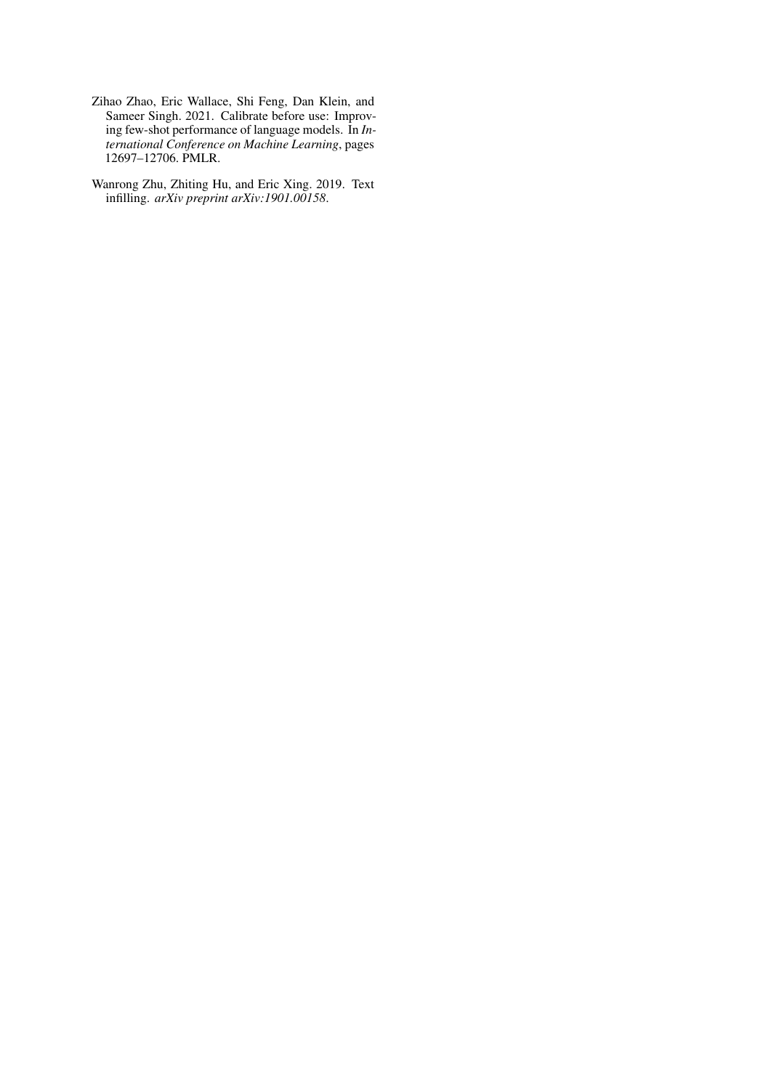- <span id="page-6-1"></span>Zihao Zhao, Eric Wallace, Shi Feng, Dan Klein, and Sameer Singh. 2021. Calibrate before use: Improving few-shot performance of language models. In *International Conference on Machine Learning*, pages 12697–12706. PMLR.
- <span id="page-6-0"></span>Wanrong Zhu, Zhiting Hu, and Eric Xing. 2019. Text infilling. *arXiv preprint arXiv:1901.00158*.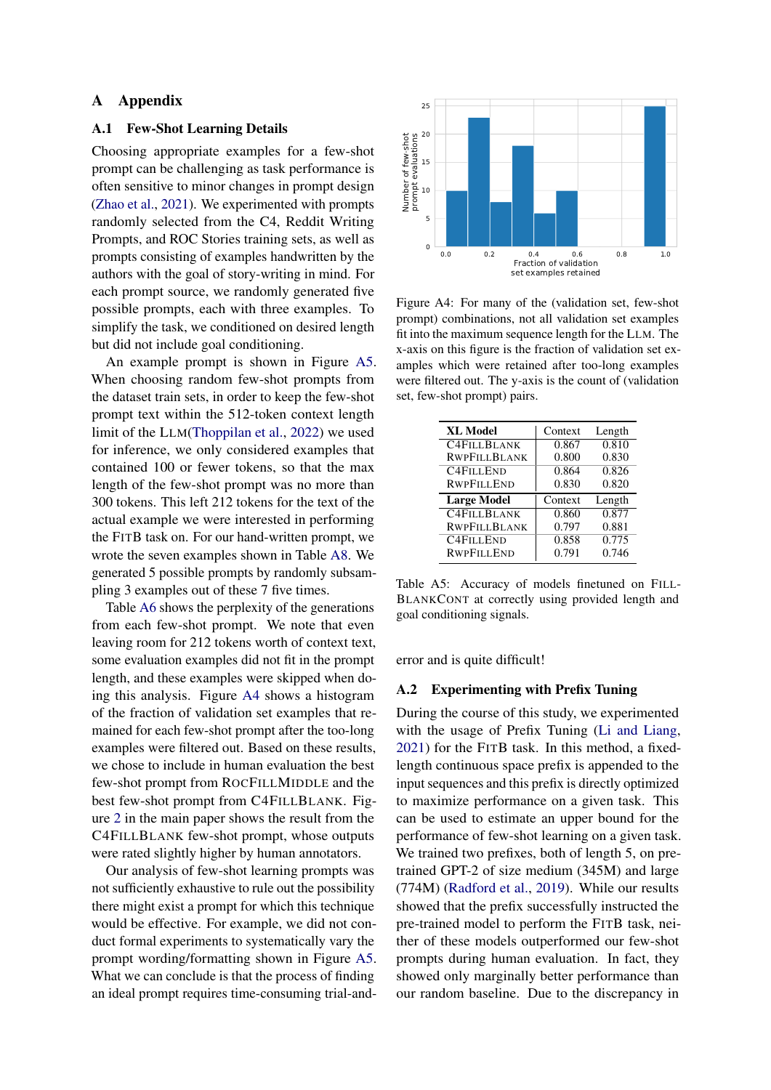### A Appendix

#### <span id="page-7-0"></span>A.1 Few-Shot Learning Details

Choosing appropriate examples for a few-shot prompt can be challenging as task performance is often sensitive to minor changes in prompt design [\(Zhao et al.,](#page-6-1) [2021\)](#page-6-1). We experimented with prompts randomly selected from the C4, Reddit Writing Prompts, and ROC Stories training sets, as well as prompts consisting of examples handwritten by the authors with the goal of story-writing in mind. For each prompt source, we randomly generated five possible prompts, each with three examples. To simplify the task, we conditioned on desired length but did not include goal conditioning.

An example prompt is shown in Figure [A5.](#page-8-2) When choosing random few-shot prompts from the dataset train sets, in order to keep the few-shot prompt text within the 512-token context length limit of the LLM[\(Thoppilan et al.,](#page-5-7) [2022\)](#page-5-7) we used for inference, we only considered examples that contained 100 or fewer tokens, so that the max length of the few-shot prompt was no more than 300 tokens. This left 212 tokens for the text of the actual example we were interested in performing the FITB task on. For our hand-written prompt, we wrote the seven examples shown in Table [A8.](#page-10-0) We generated 5 possible prompts by randomly subsampling 3 examples out of these 7 five times.

Table [A6](#page-9-0) shows the perplexity of the generations from each few-shot prompt. We note that even leaving room for 212 tokens worth of context text, some evaluation examples did not fit in the prompt length, and these examples were skipped when doing this analysis. Figure [A4](#page-7-1) shows a histogram of the fraction of validation set examples that remained for each few-shot prompt after the too-long examples were filtered out. Based on these results, we chose to include in human evaluation the best few-shot prompt from ROCFILLMIDDLE and the best few-shot prompt from C4FILLBLANK. Figure [2](#page-3-0) in the main paper shows the result from the C4FILLBLANK few-shot prompt, whose outputs were rated slightly higher by human annotators.

Our analysis of few-shot learning prompts was not sufficiently exhaustive to rule out the possibility there might exist a prompt for which this technique would be effective. For example, we did not conduct formal experiments to systematically vary the prompt wording/formatting shown in Figure [A5.](#page-8-2) What we can conclude is that the process of finding an ideal prompt requires time-consuming trial-and-

<span id="page-7-1"></span>

Figure A4: For many of the (validation set, few-shot prompt) combinations, not all validation set examples fit into the maximum sequence length for the LLM. The x-axis on this figure is the fraction of validation set examples which were retained after too-long examples were filtered out. The y-axis is the count of (validation set, few-shot prompt) pairs.

<span id="page-7-2"></span>

| <b>XL Model</b>     | Context | Length |
|---------------------|---------|--------|
| <b>C4FILLBLANK</b>  | 0.867   | 0.810  |
| <b>RWPFILLBLANK</b> | 0.800   | 0.830  |
| <b>C4FILLEND</b>    | 0.864   | 0.826  |
| <b>RWPFILLEND</b>   | 0.830   | 0.820  |
|                     |         |        |
| <b>Large Model</b>  | Context | Length |
| <b>C4FILLBLANK</b>  | 0.860   | 0.877  |
| <b>RWPFILLBLANK</b> | 0.797   | 0.881  |
| <b>C4FILLEND</b>    | 0.858   | 0.775  |

Table A5: Accuracy of models finetuned on FILL-BLANKCONT at correctly using provided length and goal conditioning signals.

error and is quite difficult!

### A.2 Experimenting with Prefix Tuning

During the course of this study, we experimented with the usage of Prefix Tuning [\(Li and Liang,](#page-5-19) [2021\)](#page-5-19) for the FITB task. In this method, a fixedlength continuous space prefix is appended to the input sequences and this prefix is directly optimized to maximize performance on a given task. This can be used to estimate an upper bound for the performance of few-shot learning on a given task. We trained two prefixes, both of length 5, on pretrained GPT-2 of size medium (345M) and large (774M) [\(Radford et al.,](#page-5-5) [2019\)](#page-5-5). While our results showed that the prefix successfully instructed the pre-trained model to perform the FITB task, neither of these models outperformed our few-shot prompts during human evaluation. In fact, they showed only marginally better performance than our random baseline. Due to the discrepancy in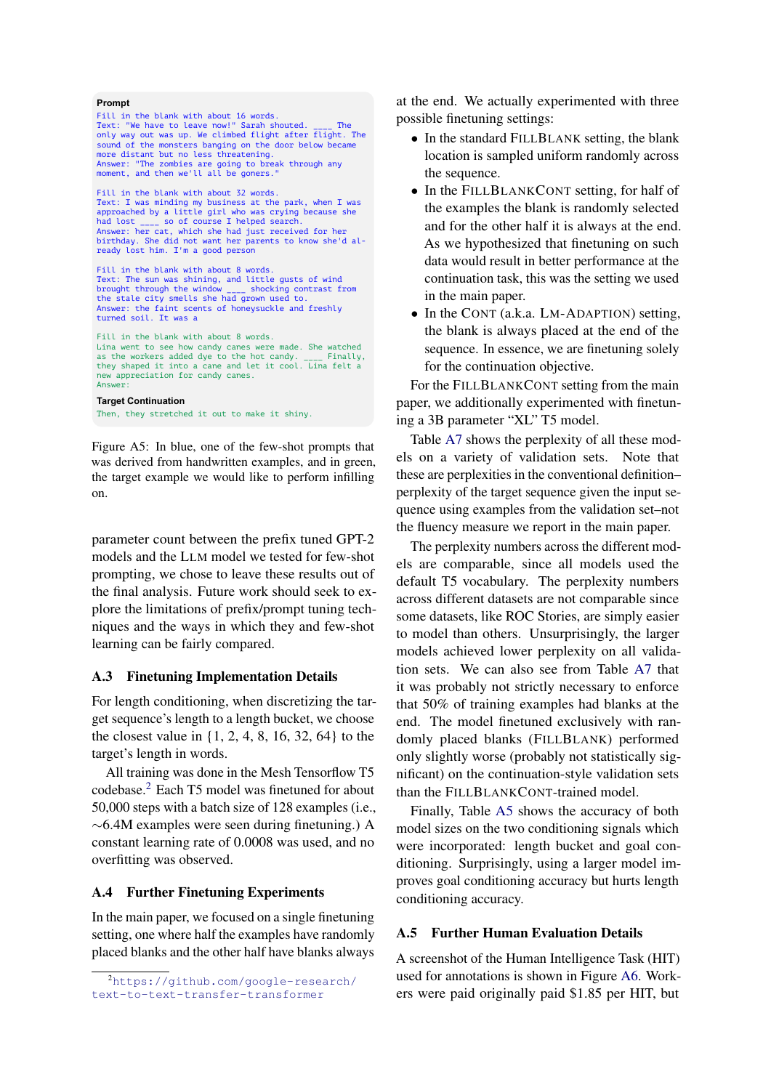#### <span id="page-8-2"></span>**Prompt**

Fill in the blank with about 16 words. Text: "We have to leave now!" Sarah shouted. \_\_\_\_ The only way out was up. We climbed flight after flight. The sound of the monsters banging on the door below became more distant but no less threatening. Answer: "The zombies are going to break through any moment, and then we'll all be goners.' Fill in the blank with about 32 words. Text: I was minding my business at the park, when I was approached by a little girl who was crying because she had lost \_\_\_\_ so of course I helped search. Answer: her cat, which she had just received for her birthday. She did not want her parents to know she'd already lost him. I'm a good person Fill in the blank with about 8 words. Text: The sun was shining, and little gusts of wind<br>brought through the window  $\frac{1}{\sqrt{1-x}}$  shocking contrast from brought through the window \_\_\_\_ shocking contrast from the stale city smells she had grown used to. Answer: the faint scents of honeysuckle and freshly turned soil. It was a Fill in the blank with about 8 words. Lina went to see how candy canes were made. She watched as the workers added dye to the hot candy. \_\_\_\_ Finally, as the workers added dye to the hot candy. they shaped it into a cane and let it cool. Lina felt a new appreciation for candy canes. Answer: Then, they stretched it out to make it shiny. **Target Continuation**

Figure A5: In blue, one of the few-shot prompts that was derived from handwritten examples, and in green, the target example we would like to perform infilling on.

parameter count between the prefix tuned GPT-2 models and the LLM model we tested for few-shot prompting, we chose to leave these results out of the final analysis. Future work should seek to explore the limitations of prefix/prompt tuning techniques and the ways in which they and few-shot learning can be fairly compared.

#### <span id="page-8-1"></span>A.3 Finetuning Implementation Details

For length conditioning, when discretizing the target sequence's length to a length bucket, we choose the closest value in {1, 2, 4, 8, 16, 32, 64} to the target's length in words.

All training was done in the Mesh Tensorflow T5 codebase.[2](#page-8-3) Each T5 model was finetuned for about 50,000 steps with a batch size of 128 examples (i.e., ∼6.4M examples were seen during finetuning.) A constant learning rate of 0.0008 was used, and no overfitting was observed.

#### <span id="page-8-0"></span>A.4 Further Finetuning Experiments

In the main paper, we focused on a single finetuning setting, one where half the examples have randomly placed blanks and the other half have blanks always at the end. We actually experimented with three possible finetuning settings:

- In the standard FILLBLANK setting, the blank location is sampled uniform randomly across the sequence.
- In the FILLBLANKCONT setting, for half of the examples the blank is randomly selected and for the other half it is always at the end. As we hypothesized that finetuning on such data would result in better performance at the continuation task, this was the setting we used in the main paper.
- In the CONT (a.k.a. LM-ADAPTION) setting, the blank is always placed at the end of the sequence. In essence, we are finetuning solely for the continuation objective.

For the FILLBLANKCONT setting from the main paper, we additionally experimented with finetuning a 3B parameter "XL" T5 model.

Table [A7](#page-9-1) shows the perplexity of all these models on a variety of validation sets. Note that these are perplexities in the conventional definition– perplexity of the target sequence given the input sequence using examples from the validation set–not the fluency measure we report in the main paper.

The perplexity numbers across the different models are comparable, since all models used the default T5 vocabulary. The perplexity numbers across different datasets are not comparable since some datasets, like ROC Stories, are simply easier to model than others. Unsurprisingly, the larger models achieved lower perplexity on all validation sets. We can also see from Table [A7](#page-9-1) that it was probably not strictly necessary to enforce that 50% of training examples had blanks at the end. The model finetuned exclusively with randomly placed blanks (FILLBLANK) performed only slightly worse (probably not statistically significant) on the continuation-style validation sets than the FILLBLANKCONT-trained model.

Finally, Table [A5](#page-7-2) shows the accuracy of both model sizes on the two conditioning signals which were incorporated: length bucket and goal conditioning. Surprisingly, using a larger model improves goal conditioning accuracy but hurts length conditioning accuracy.

### A.5 Further Human Evaluation Details

A screenshot of the Human Intelligence Task (HIT) used for annotations is shown in Figure [A6.](#page-11-0) Workers were paid originally paid \$1.85 per HIT, but

<span id="page-8-3"></span><sup>2</sup>[https://github.com/google-research/](https://github.com/google-research/text-to-text-transfer-transformer) [text-to-text-transfer-transformer](https://github.com/google-research/text-to-text-transfer-transformer)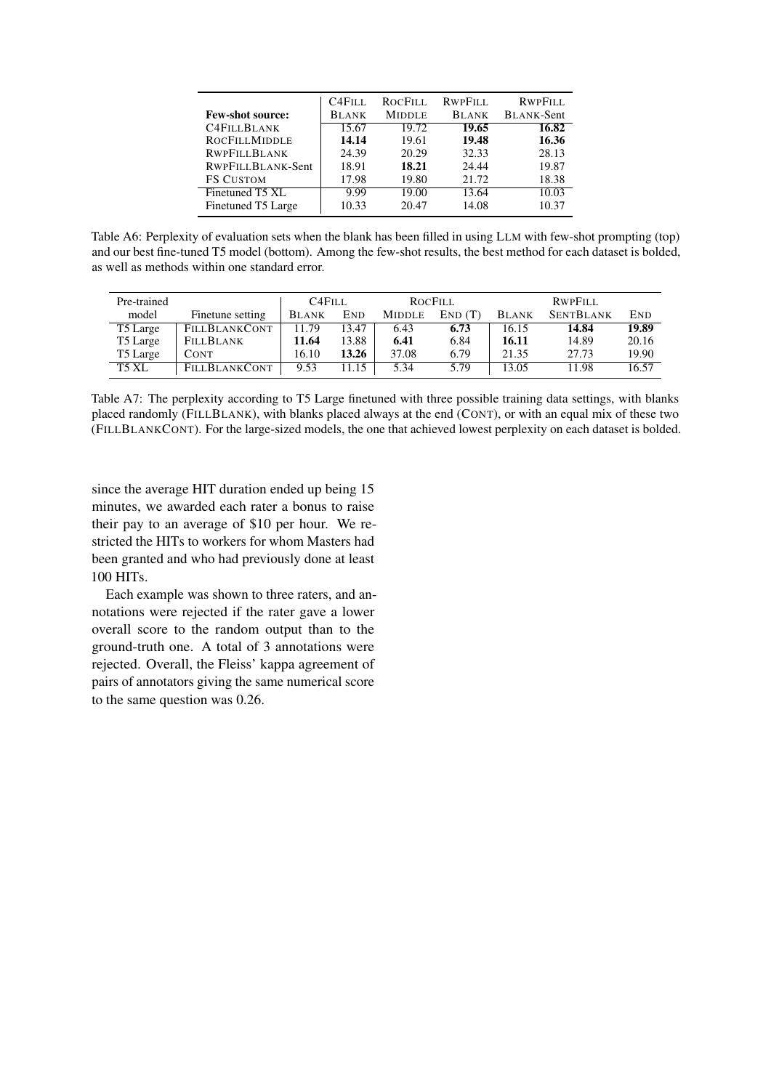<span id="page-9-0"></span>

|                         | C <sub>4</sub> F <sub>ILL</sub> | ROCFILL       | <b>RWPFILL</b> | <b>RWPFILL</b>    |
|-------------------------|---------------------------------|---------------|----------------|-------------------|
| <b>Few-shot source:</b> | <b>BLANK</b>                    | <b>MIDDLE</b> | <b>BLANK</b>   | <b>BLANK-Sent</b> |
| <b>C4FILLBLANK</b>      | 15.67                           | 19.72         | 19.65          | 16.82             |
| <b>ROCFILLMIDDLE</b>    | 14.14                           | 19.61         | 19.48          | 16.36             |
| <b>RWPFILLBLANK</b>     | 24.39                           | 20.29         | 32.33          | 28.13             |
| RWPFILLBLANK-Sent       | 18.91                           | 18.21         | 24.44          | 19.87             |
| <b>FS CUSTOM</b>        | 17.98                           | 19.80         | 21.72          | 18.38             |
| Finetuned T5 XL         | 9.99                            | 19.00         | 13.64          | 10.03             |
| Finetuned T5 Large      | 10.33                           | 20.47         | 14.08          | 10.37             |

Table A6: Perplexity of evaluation sets when the blank has been filled in using LLM with few-shot prompting (top) and our best fine-tuned T5 model (bottom). Among the few-shot results, the best method for each dataset is bolded, as well as methods within one standard error.

<span id="page-9-1"></span>

| Pre-trained |                      | C <sub>4</sub> F <sub>IL</sub> |            |               | ROCFILL |              | <b>RWPFILL</b>   |            |
|-------------|----------------------|--------------------------------|------------|---------------|---------|--------------|------------------|------------|
| model       | Finetune setting     | <b>BLANK</b>                   | <b>END</b> | <b>MIDDLE</b> | END(T)  | <b>BLANK</b> | <b>SENTBLANK</b> | <b>END</b> |
| T5 Large    | <b>FILLBLANKCONT</b> | 11.79                          | 13.47      | 6.43          | 6.73    | 16.15        | 14.84            | 19.89      |
| T5 Large    | <b>FILLBLANK</b>     | 11.64                          | 13.88      | 6.41          | 6.84    | 16.11        | 14.89            | 20.16      |
| T5 Large    | <b>CONT</b>          | 16.10                          | 13.26      | 37.08         | 6.79    | 21.35        | 27.73            | 19.90      |
| T5 XL       | FILLBLANKCONT        | 9.53                           | 11.15      | 5.34          | 5.79    | 13.05        | 11.98            | 16.57      |

Table A7: The perplexity according to T5 Large finetuned with three possible training data settings, with blanks placed randomly (FILLBLANK), with blanks placed always at the end (CONT), or with an equal mix of these two (FILLBLANKCONT). For the large-sized models, the one that achieved lowest perplexity on each dataset is bolded.

since the average HIT duration ended up being 15 minutes, we awarded each rater a bonus to raise their pay to an average of \$10 per hour. We restricted the HITs to workers for whom Masters had been granted and who had previously done at least 100 HITs.

Each example was shown to three raters, and annotations were rejected if the rater gave a lower overall score to the random output than to the ground-truth one. A total of 3 annotations were rejected. Overall, the Fleiss' kappa agreement of pairs of annotators giving the same numerical score to the same question was 0.26.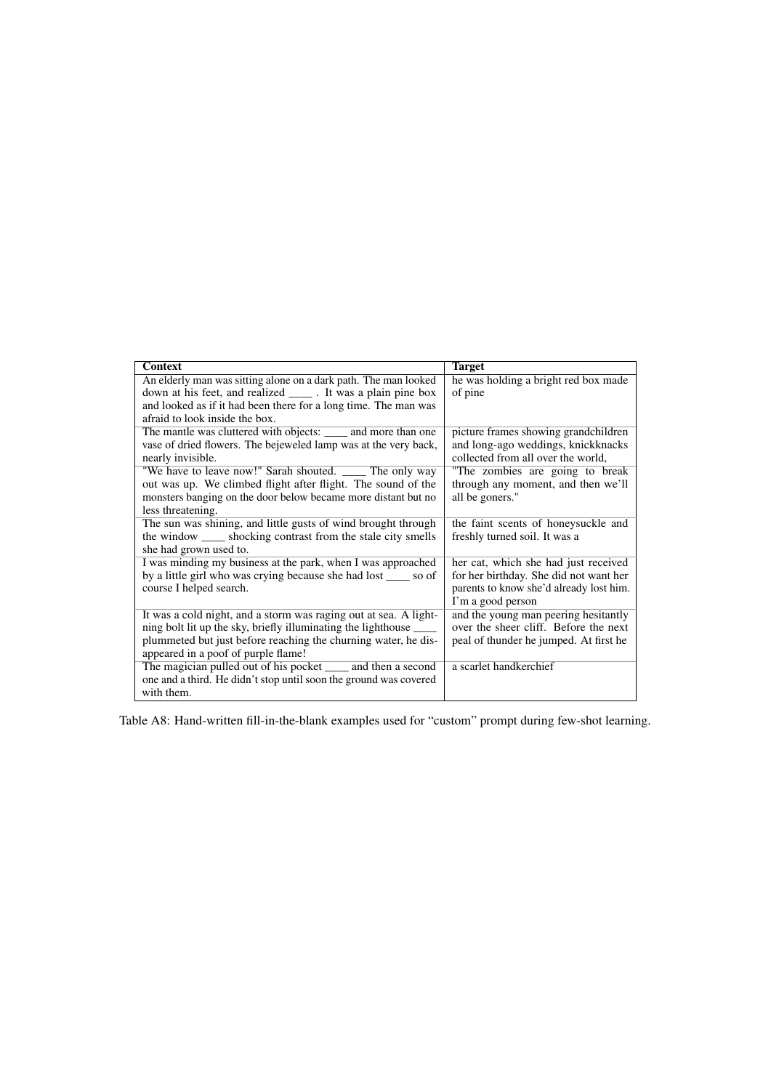<span id="page-10-0"></span>

| <b>Context</b>                                                                       | <b>Target</b>                                                            |
|--------------------------------------------------------------------------------------|--------------------------------------------------------------------------|
| An elderly man was sitting alone on a dark path. The man looked                      | he was holding a bright red box made                                     |
| down at his feet, and realized ______. It was a plain pine box                       | of pine                                                                  |
| and looked as if it had been there for a long time. The man was                      |                                                                          |
| afraid to look inside the box.                                                       |                                                                          |
| The mantle was cluttered with objects: _____ and more than one                       | picture frames showing grandchildren                                     |
| vase of dried flowers. The bejeweled lamp was at the very back,<br>nearly invisible. | and long-ago weddings, knickknacks<br>collected from all over the world, |
| "We have to leave now!" Sarah shouted. ______ The only way                           | "The zombies are going to break                                          |
| out was up. We climbed flight after flight. The sound of the                         | through any moment, and then we'll                                       |
| monsters banging on the door below became more distant but no                        | all be goners."                                                          |
| less threatening.                                                                    |                                                                          |
| The sun was shining, and little gusts of wind brought through                        | the faint scents of honeysuckle and                                      |
| the window shocking contrast from the stale city smells                              | freshly turned soil. It was a                                            |
| she had grown used to.                                                               |                                                                          |
| I was minding my business at the park, when I was approached                         | her cat, which she had just received                                     |
| by a little girl who was crying because she had lost _____ so of                     | for her birthday. She did not want her                                   |
| course I helped search.                                                              | parents to know she'd already lost him.                                  |
|                                                                                      | I'm a good person                                                        |
| It was a cold night, and a storm was raging out at sea. A light-                     | and the young man peering hesitantly                                     |
| ning bolt lit up the sky, briefly illuminating the lighthouse _                      | over the sheer cliff. Before the next                                    |
| plummeted but just before reaching the churning water, he dis-                       | peal of thunder he jumped. At first he                                   |
| appeared in a poof of purple flame!                                                  |                                                                          |
| The magician pulled out of his pocket ______ and then a second                       | a scarlet handkerchief                                                   |
| one and a third. He didn't stop until soon the ground was covered                    |                                                                          |
| with them.                                                                           |                                                                          |

Table A8: Hand-written fill-in-the-blank examples used for "custom" prompt during few-shot learning.